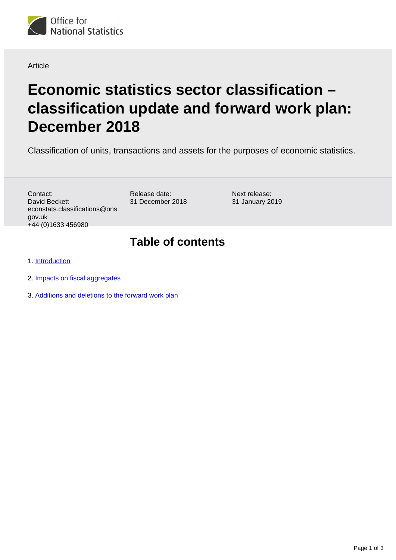

#### Article

# **Economic statistics sector classification – classification update and forward work plan: December 2018**

Classification of units, transactions and assets for the purposes of economic statistics.

Contact: David Beckett econstats.classifications@ons. gov.uk +44 (0)1633 456980

Release date: 31 December 2018 Next release: 31 January 2019

#### **Table of contents**

1. [Introduction](#page-1-0)

- 2. [Impacts on fiscal aggregates](#page-1-1)
- 3. [Additions and deletions to the forward work plan](#page-2-0)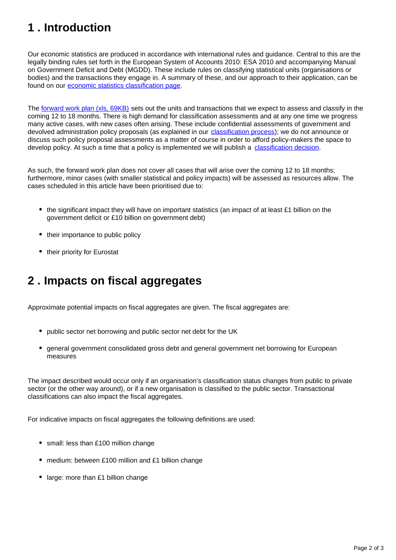## <span id="page-1-0"></span>**1 . Introduction**

Our economic statistics are produced in accordance with international rules and guidance. Central to this are the legally binding rules set forth in the European System of Accounts 2010: ESA 2010 and accompanying Manual on Government Deficit and Debt (MGDD). These include rules on classifying statistical units (organisations or bodies) and the transactions they engage in. A summary of these, and our approach to their application, can be found on our [economic statistics classification page.](https://www.ons.gov.uk/methodology/classificationsandstandards/economicstatisticsclassifications)

The [forward work plan \(xls, 69KB\)](https://www.ons.gov.uk/file?uri=/methodology/classificationsandstandards/economicstatisticsclassifications/introductiontoeconomicstatisticsclassifications/dec2018fwp.xls) sets out the units and transactions that we expect to assess and classify in the coming 12 to 18 months. There is high demand for classification assessments and at any one time we progress many active cases, with new cases often arising. These include confidential assessments of government and devolved administration policy proposals (as explained in our *[classification process](https://www.ons.gov.uk/methodology/classificationsandstandards/economicstatisticsclassifications/ukeconomicstatisticssectorandtransactionclassificationstheclassificationprocess)*); we do not announce or discuss such policy proposal assessments as a matter of course in order to afford policy-makers the space to develop policy. At such a time that a policy is implemented we will publish a [classification decision](https://www.ons.gov.uk/methodology/classificationsandstandards/economicstatisticsclassifications/ukeconomicstatisticssectorandtransactionclassificationstheclassificationprocess).

As such, the forward work plan does not cover all cases that will arise over the coming 12 to 18 months; furthermore, minor cases (with smaller statistical and policy impacts) will be assessed as resources allow. The cases scheduled in this article have been prioritised due to:

- the significant impact they will have on important statistics (an impact of at least £1 billion on the government deficit or £10 billion on government debt)
- their importance to public policy
- their priority for Eurostat

### <span id="page-1-1"></span>**2 . Impacts on fiscal aggregates**

Approximate potential impacts on fiscal aggregates are given. The fiscal aggregates are:

- public sector net borrowing and public sector net debt for the UK
- general government consolidated gross debt and general government net borrowing for European measures

The impact described would occur only if an organisation's classification status changes from public to private sector (or the other way around), or if a new organisation is classified to the public sector. Transactional classifications can also impact the fiscal aggregates.

For indicative impacts on fiscal aggregates the following definitions are used:

- small: less than £100 million change
- medium: between £100 million and £1 billion change
- large: more than £1 billion change